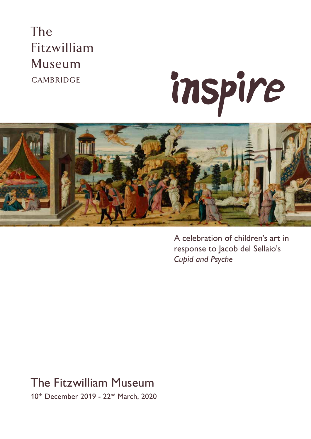## The Fitzwilliam **Museum** CAMBRIDGE





A celebration of children's art in response to Jacob del Sellaio's *Cupid and Psyche*

### The Fitzwilliam Museum

10th December 2019 - 22<sup>nd</sup> March, 2020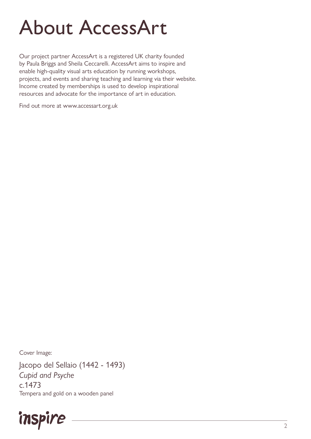# About AccessArt

Our project partner AccessArt is a registered UK charity founded by Paula Briggs and Sheila Ceccarelli. AccessArt aims to inspire and enable high-quality visual arts education by running workshops, projects, and events and sharing teaching and learning via their website. Income created by memberships is used to develop inspirational resources and advocate for the importance of art in education.

Find out more at www.accessart.org.uk

Cover Image:

Jacopo del Sellaio (1442 - 1493) *Cupid and Psyche* c.1473 Tempera and gold on a wooden panel

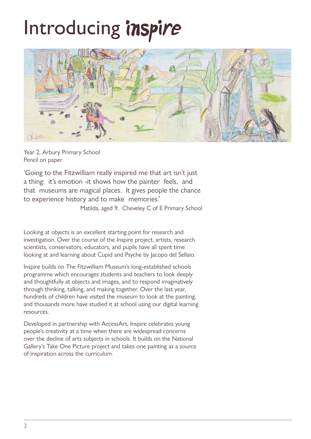# Introducing inspire



Year 2, Arbury Primary School Pencil on paper

'Going to the Fitzwilliam really inspired me that art isn't just a thing: it's emotion -it shows how the painter feels, and that museums are magical places. It gives people the chance to experience history and to make memories.'

Matilda, aged 9, Cheveley C of E Primary School

Looking at objects is an excellent starting point for research and investigation. Over the course of the Inspire project, artists, research scientists, conservators, educators, and pupils have all spent time looking at and learning about Cupid and Psyche by Jacopo del Sellaio.

Inspire builds on The Fitzwilliam Museum's long-established schools programme which encourages students and teachers to look deeply and thoughtfully at objects and images, and to respond imaginatively through thinking, talking, and making together. Over the last year, hundreds of children have visited the museum to look at the painting, and thousands more have studied it at school using our digital learning resources.

Developed in partnership with AccessArt, Inspire celebrates young people's creativity at a time when there are widespread concerns over the decline of arts subjects in schools. It builds on the National Gallery's Take One Picture project and takes one painting as a source of inspiration across the curriculum.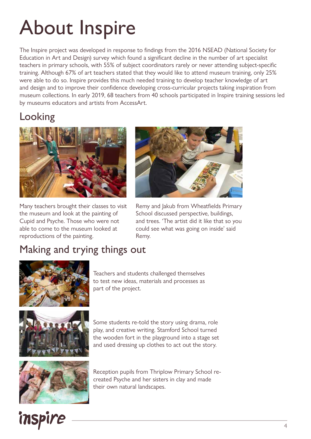# About Inspire

The Inspire project was developed in response to findings from the 2016 NSEAD (National Society for Education in Art and Design) survey which found a significant decline in the number of art specialist teachers in primary schools, with 55% of subject coordinators rarely or never attending subject-specific training. Although 67% of art teachers stated that they would like to attend museum training, only 25% were able to do so. Inspire provides this much needed training to develop teacher knowledge of art and design and to improve their confidence developing cross-curricular projects taking inspiration from museum collections. In early 2019, 68 teachers from 40 schools participated in Inspire training sessions led by museums educators and artists from AccessArt.

### Looking



Many teachers brought their classes to visit the museum and look at the painting of Cupid and Psyche. Those who were not able to come to the museum looked at reproductions of the painting.



Remy and Jakub from Wheatfields Primary School discussed perspective, buildings, and trees. 'The artist did it like that so you could see what was going on inside' said Remy.

#### Making and trying things out



Teachers and students challenged themselves to test new ideas, materials and processes as part of the project.



Some students re-told the story using drama, role play, and creative writing. Stamford School turned the wooden fort in the playground into a stage set and used dressing up clothes to act out the story.



Reception pupils from Thriplow Primary School recreated Psyche and her sisters in clay and made their own natural landscapes.

## inspire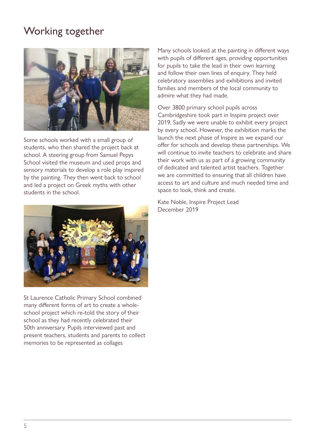#### Working together



Some schools worked with a small group of students, who then shared the project back at school. A steering group from Samuel Pepys School visited the museum and used props and sensory materials to develop a role play inspired by the painting. They then went back to school and led a project on Greek myths with other students in the school.



St Laurence Catholic Primary School combined many different forms of art to create a wholeschool project which re-told the story of their school as they had recently celebrated their 50th anniversary. Pupils interviewed past and present teachers, students and parents to collect memories to be represented as collages

Many schools looked at the painting in different ways with pupils of different ages, providing opportunities for pupils to take the lead in their own learning and follow their own lines of enquiry. They held celebratory assemblies and exhibitions and invited families and members of the local community to admire what they had made.

Over 3800 primary school pupils across Cambridgeshire took part in Inspire project over 2019. Sadly we were unable to exhibit every project by every school. However, the exhibition marks the launch the next phase of Inspire as we expand our offer for schools and develop these partnerships. We will continue to invite teachers to celebrate and share their work with us as part of a growing community of dedicated and talented artist teachers. Together we are committed to ensuring that all children have access to art and culture and much needed time and space to look, think and create.

Kate Noble, Inspire Project Lead December 2019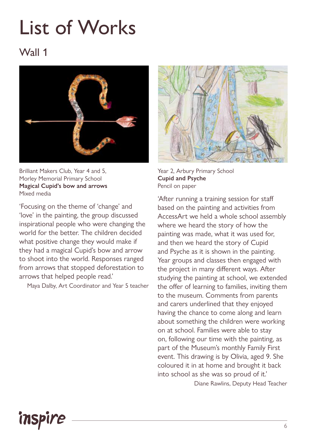# List of Works

#### Wall 1



Brilliant Makers Club, Year 4 and 5, Morley Memorial Primary School **Magical Cupid's bow and arrows**  Mixed media

'Focusing on the theme of 'change' and 'love' in the painting, the group discussed inspirational people who were changing the world for the better. The children decided what positive change they would make if they had a magical Cupid's bow and arrow to shoot into the world. Responses ranged from arrows that stopped deforestation to arrows that helped people read.'

Maya Dalby, Art Coordinator and Year 5 teacher



Year 2, Arbury Primary School **Cupid and Psyche**  Pencil on paper

'After running a training session for staff based on the painting and activities from AccessArt we held a whole school assembly where we heard the story of how the painting was made, what it was used for, and then we heard the story of Cupid and Psyche as it is shown in the painting. Year groups and classes then engaged with the project in many different ways. After studying the painting at school, we extended the offer of learning to families, inviting them to the museum. Comments from parents and carers underlined that they enjoyed having the chance to come along and learn about something the children were working on at school. Families were able to stay on, following our time with the painting, as part of the Museum's monthly Family First event. This drawing is by Olivia, aged 9. She coloured it in at home and brought it back into school as she was so proud of it.' Diane Rawlins, Deputy Head Teacher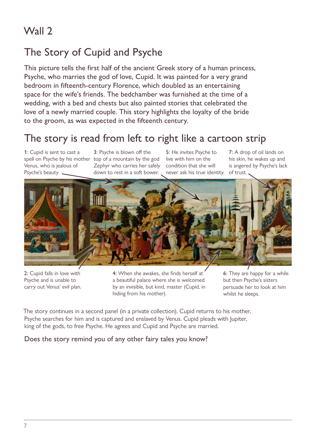#### The Story of Cupid and Psyche

This picture tells the first half of the ancient Greek story of a human princess, Psyche, who marries the god of love, Cupid. It was painted for a very grand bedroom in fifteenth-century Florence, which doubled as an entertaining space for the wife's friends. The bedchamber was furnished at the time of a wedding, with a bed and chests but also painted stories that celebrated the love of a newly married couple. This story highlights the loyalty of the bride to the groom, as was expected in the fifteenth century.

#### The story is read from left to right like a cartoon strip

1: Cupid is sent to cast a spell on Psyche by his mother top of a mountain by the god Venus, who is jealous of Psyche's beauty

3: Psyche is blown off the Zephyr who carries her safely down to rest in a soft bower.

5: He invites Psyche to live with him on the condition that she will never ask his true identity.

7: A drop of oil lands on his skin, he wakes up and is angered by Psyche's lack of trust.



2: Cupid falls in love with Psyche and is unable to carry out Venus' evil plan.

4: When she awakes, she finds herself at a beautiful palace where she is welcomed by an invisible, but kind, master (Cupid, in hiding from his mother).

6: They are happy for a while but then Psyche's sisters persuade her to look at him whilst he sleeps.

The story continues in a second panel (in a private collection). Cupid returns to his mother, Psyche searches for him and is captured and enslaved by Venus. Cupid pleads with Jupiter, king of the gods, to free Psyche. He agrees and Cupid and Psyche are married.

#### Does the story remind you of any other fairy tales you know?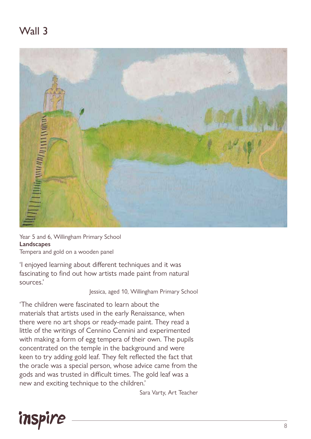

Year 5 and 6, Willingham Primary School **Landscapes**  Tempera and gold on a wooden panel

'I enjoyed learning about different techniques and it was fascinating to find out how artists made paint from natural sources.'

Jessica, aged 10, Willingham Primary School

'The children were fascinated to learn about the materials that artists used in the early Renaissance, when there were no art shops or ready-made paint. They read a little of the writings of Cennino Cennini and experimented with making a form of egg tempera of their own. The pupils concentrated on the temple in the background and were keen to try adding gold leaf. They felt reflected the fact that the oracle was a special person, whose advice came from the gods and was trusted in difficult times. The gold leaf was a new and exciting technique to the children.'

Sara Varty, Art Teacher

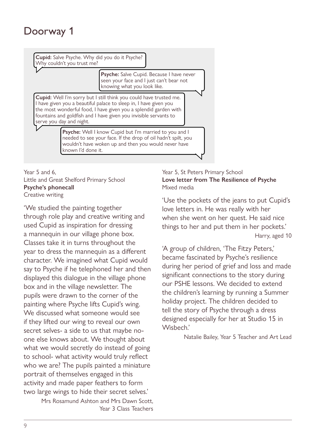**Cupid:** Salve Psyche. Why did you do it Psyche? Why couldn't you trust me?

> **Psyche:** Salve Cupid. Because I have never seen your face and I just can't bear not knowing what you look like.

**Cupid:** Well I'm sorry but I still think you could have trusted me. I have given you a beautiful palace to sleep in, I have given you the most wonderful food, I have given you a splendid garden with fountains and goldfish and I have given you invisible servants to serve you day and night.

> **Psyche:** Well I know Cupid but I'm married to you and I needed to see your face. If the drop of oil hadn't spilt, you wouldn't have woken up and then you would never have known I'd done it.

Year 5 and 6, Little and Great Shelford Primary School **Love letter fr Psyche's phonecall** Creative writing  $\frac{1}{\sqrt{1-\frac{1}{\sqrt{1-\frac{1}{\sqrt{1-\frac{1}{\sqrt{1-\frac{1}{\sqrt{1-\frac{1}{\sqrt{1-\frac{1}{\sqrt{1-\frac{1}{\sqrt{1-\frac{1}{\sqrt{1-\frac{1}{\sqrt{1-\frac{1}{\sqrt{1-\frac{1}{\sqrt{1-\frac{1}{\sqrt{1-\frac{1}{\sqrt{1-\frac{1}{\sqrt{1-\frac{1}{\sqrt{1-\frac{1}{\sqrt{1-\frac{1}{\sqrt{1-\frac{1}{\sqrt{1-\frac{1}{\sqrt{1-\frac{1}{\sqrt{1-\frac{1}{\sqrt{1-\frac{1}{\sqrt{1-\frac{1}{\sqrt{1-\frac{1$ 

'We studied the painting together through role play and creative writing and used Cupid as inspiration for dressing a mannequin in our village phone box. Classes take it in turns throughout the year to dress the mannequin as a different character. We imagined what Cupid would say to Psyche if he telephoned her and then displayed this dialogue in the village phone box and in the village newsletter. The pupils were drawn to the corner of the painting where Psyche lifts Cupid's wing. We discussed what someone would see if they lifted our wing to reveal our own secret selves- a side to us that maybe noone else knows about. We thought about what we would secretly do instead of going to school- what activity would truly reflect who we are? The pupils painted a miniature portrait of themselves engaged in this activity and made paper feathers to form two large wings to hide their secret selves.' sisters' advice again.

> Mrs Rosamund Ashton and Mrs Dawn Scott, Year 3 Class Teachers

#### Year 5, St Peters Primary School **Love letter from The Resilience of Psyche**  Mixed media

'Use the pockets of the jeans to put Cupid's love letters in. He was really with her when she went on her quest. He said nice ng things to her and put them in her pockets.' Harry, aged 10

> 'A group of children, 'The Fitzy Peters,' became fascinated by Psyche's resilience during her period of grief and loss and made significant connections to the story during our PSHE lessons. We decided to extend the children's learning by running a Summer holiday project. The children decided to tell the story of Psyche through a dress designed especially for her at Studio 15 in Wisbech.'

> > Natalie Bailey, Year 5 Teacher and Art Lead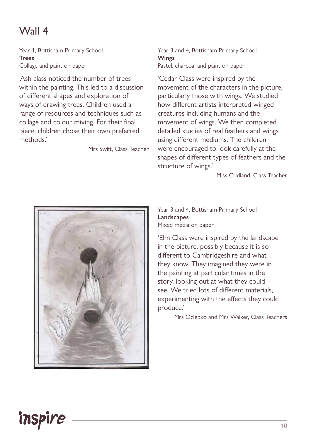Year 1, Bottisham Primary School **Trees**  Collage and paint on paper

'Ash class noticed the number of trees within the painting. This led to a discussion of different shapes and exploration of ways of drawing trees. Children used a range of resources and techniques such as collage and colour mixing. For their final piece, children chose their own preferred methods.'

Mrs Swift, Class Teacher

Year 3 and 4, Bottisham Primary School **Wings** Pastel, charcoal and paint on paper

'Cedar Class were inspired by the movement of the characters in the picture, particularly those with wings. We studied how different artists interpreted winged creatures including humans and the movement of wings. We then completed detailed studies of real feathers and wings using different mediums. The children were encouraged to look carefully at the shapes of different types of feathers and the structure of wings.'

Miss Cridland, Class Teacher



Year 3 and 4, Bottisham Primary School **Landscapes** Mixed media on paper

'Elm Class were inspired by the landscape in the picture, possibly because it is so different to Cambridgeshire and what they know. They imagined they were in the painting at particular times in the story, looking out at what they could see. We tried lots of different materials, experimenting with the effects they could produce.'

Mrs Ociepko and Mrs Walker, Class Teachers

## inspire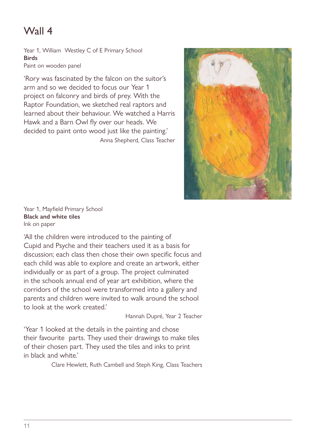Year 1, William Westley C of E Primary School **Birds**  Paint on wooden panel

'Rory was fascinated by the falcon on the suitor's arm and so we decided to focus our Year 1 project on falconry and birds of prey. With the Raptor Foundation, we sketched real raptors and learned about their behaviour. We watched a Harris Hawk and a Barn Owl fly over our heads. We decided to paint onto wood just like the painting.' Anna Shepherd, Class Teacher



Year 1, Mayfield Primary School **Black and white tiles** Ink on paper

'All the children were introduced to the painting of Cupid and Psyche and their teachers used it as a basis for discussion; each class then chose their own specific focus and each child was able to explore and create an artwork, either individually or as part of a group. The project culminated in the schools annual end of year art exhibition, where the corridors of the school were transformed into a gallery and parents and children were invited to walk around the school to look at the work created.'

Hannah Dupré, Year 2 Teacher

'Year 1 looked at the details in the painting and chose their favourite parts. They used their drawings to make tiles of their chosen part. They used the tiles and inks to print in black and white.'

Clare Hewlett, Ruth Cambell and Steph King, Class Teachers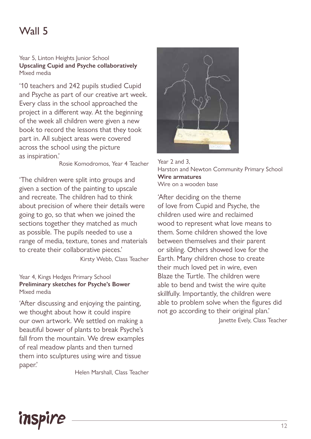Year 5, Linton Heights Junior School **Upscaling Cupid and Psyche collaboratively**  Mixed media

'10 teachers and 242 pupils studied Cupid and Psyche as part of our creative art week. Every class in the school approached the project in a different way. At the beginning of the week all children were given a new book to record the lessons that they took part in. All subject areas were covered across the school using the picture as inspiration.'

Rosie Komodromos, Year 4 Teacher

'The children were split into groups and given a section of the painting to upscale and recreate. The children had to think about precision of where their details were going to go, so that when we joined the sections together they matched as much as possible. The pupils needed to use a range of media, texture, tones and materials to create their collaborative pieces.'

Kirsty Webb, Class Teacher

#### Year 4, Kings Hedges Primary School **Preliminary sketches for Psyche's Bower**  Mixed media

'After discussing and enjoying the painting, we thought about how it could inspire our own artwork. We settled on making a beautiful bower of plants to break Psyche's fall from the mountain. We drew examples of real meadow plants and then turned them into sculptures using wire and tissue paper.'

Helen Marshall, Class Teacher



Year 2 and 3, Harston and Newton Community Primary School **Wire armatures**  Wire on a wooden base

'After deciding on the theme of love from Cupid and Psyche, the children used wire and reclaimed wood to represent what love means to them. Some children showed the love between themselves and their parent or sibling. Others showed love for the Earth. Many children chose to create their much loved pet in wire, even Blaze the Turtle. The children were able to bend and twist the wire quite skillfully. Importantly, the children were able to problem solve when the figures did not go according to their original plan.'

Janette Evely, Class Teacher

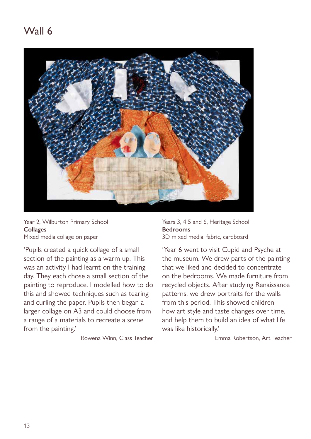

Year 2, Wilburton Primary School **Collages** Mixed media collage on paper

'Pupils created a quick collage of a small section of the painting as a warm up. This was an activity I had learnt on the training day. They each chose a small section of the painting to reproduce. I modelled how to do this and showed techniques such as tearing and curling the paper. Pupils then began a larger collage on A3 and could choose from a range of a materials to recreate a scene from the painting.'

Rowena Winn, Class Teacher

Years 3, 4 5 and 6, Heritage School **Bedrooms**  3D mixed media, fabric, cardboard

'Year 6 went to visit Cupid and Psyche at the museum. We drew parts of the painting that we liked and decided to concentrate on the bedrooms. We made furniture from recycled objects. After studying Renaissance patterns, we drew portraits for the walls from this period. This showed children how art style and taste changes over time, and help them to build an idea of what life was like historically.'

Emma Robertson, Art Teacher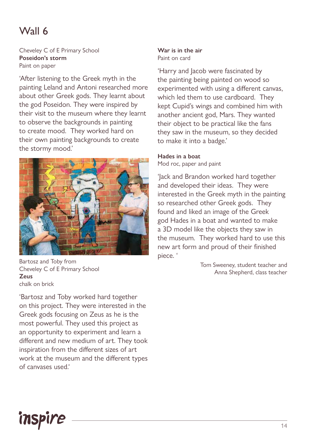Cheveley C of E Primary School **Poseidon's storm**  Paint on paper

'After listening to the Greek myth in the painting Leland and Antoni researched more about other Greek gods. They learnt about the god Poseidon. They were inspired by their visit to the museum where they learnt to observe the backgrounds in painting to create mood. They worked hard on their own painting backgrounds to create the stormy mood.'



Bartosz and Toby from Cheveley C of E Primary School **Zeus** chalk on brick

'Bartosz and Toby worked hard together on this project. They were interested in the Greek gods focusing on Zeus as he is the most powerful. They used this project as an opportunity to experiment and learn a different and new medium of art. They took inspiration from the different sizes of art work at the museum and the different types of canvases used.'

#### **War is in the air**  Paint on card

'Harry and Jacob were fascinated by the painting being painted on wood so experimented with using a different canvas, which led them to use cardboard. They kept Cupid's wings and combined him with another ancient god, Mars. They wanted their object to be practical like the fans they saw in the museum, so they decided to make it into a badge.'

#### **Hades in a boat**

Mod roc, paper and paint

'Jack and Brandon worked hard together and developed their ideas. They were interested in the Greek myth in the painting so researched other Greek gods. They found and liked an image of the Greek god Hades in a boat and wanted to make a 3D model like the objects they saw in the museum. They worked hard to use this new art form and proud of their finished piece. '

> Tom Sweeney, student teacher and Anna Shepherd, class teacher

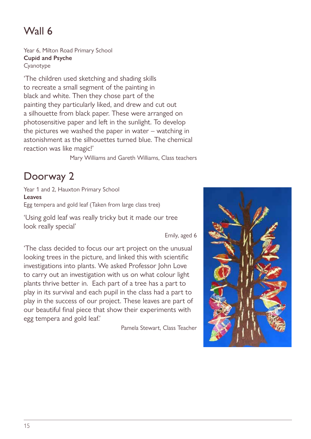Year 6, Milton Road Primary School **Cupid and Psyche** Cyanotype

'The children used sketching and shading skills to recreate a small segment of the painting in black and white. Then they chose part of the painting they particularly liked, and drew and cut out a silhouette from black paper. These were arranged on photosensitive paper and left in the sunlight. To develop the pictures we washed the paper in water – watching in astonishment as the silhouettes turned blue. The chemical reaction was like magic!'

Mary Williams and Gareth Williams, Class teachers

#### Doorway 2

Year 1 and 2, Hauxton Primary School **Leaves** Egg tempera and gold leaf (Taken from large class tree)

'Using gold leaf was really tricky but it made our tree look really special'

Emily, aged 6

'The class decided to focus our art project on the unusual looking trees in the picture, and linked this with scientific investigations into plants. We asked Professor John Love to carry out an investigation with us on what colour light plants thrive better in. Each part of a tree has a part to play in its survival and each pupil in the class had a part to play in the success of our project. These leaves are part of our beautiful final piece that show their experiments with egg tempera and gold leaf.'

Pamela Stewart, Class Teacher

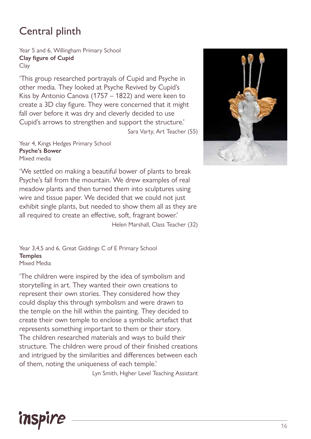#### Central plinth

Year 5 and 6, Willingham Primary School **Clay figure of Cupid**  Clay

'This group researched portrayals of Cupid and Psyche in other media. They looked at Psyche Revived by Cupid's Kiss by Antonio Canova (1757 – 1822) and were keen to create a 3D clay figure. They were concerned that it might fall over before it was dry and cleverly decided to use Cupid's arrows to strengthen and support the structure.' Sara Varty, Art Teacher (55)

Year 4, Kings Hedges Primary School **Psyche's Bower**  Mixed media

'We settled on making a beautiful bower of plants to break Psyche's fall from the mountain. We drew examples of real meadow plants and then turned them into sculptures using wire and tissue paper. We decided that we could not just exhibit single plants, but needed to show them all as they are all required to create an effective, soft, fragrant bower.'

Helen Marshall, Class Teacher (32)

Year 3,4,5 and 6, Great Giddings C of E Primary School **Temples**  Mixed Media

'The children were inspired by the idea of symbolism and storytelling in art. They wanted their own creations to represent their own stories. They considered how they could display this through symbolism and were drawn to the temple on the hill within the painting. They decided to create their own temple to enclose a symbolic artefact that represents something important to them or their story. The children researched materials and ways to build their structure. The children were proud of their finished creations and intrigued by the similarities and differences between each of them, noting the uniqueness of each temple.'

Lyn Smith, Higher Level Teaching Assistant



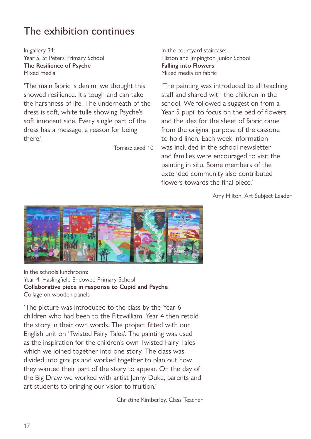#### The exhibition continues

In gallery 31: Year 5, St Peters Primary School **The Resilience of Psyche**  Mixed media

'The main fabric is denim, we thought this showed resilience. It's tough and can take the harshness of life. The underneath of the dress is soft, white tulle showing Psyche's soft innocent side. Every single part of the dress has a message, a reason for being there.'

Tomasz aged 10

In the courtyard staircase: Histon and Impington Junior School **Falling into Flowers**  Mixed media on fabric

'The painting was introduced to all teaching staff and shared with the children in the school. We followed a suggestion from a Year 5 pupil to focus on the bed of flowers and the idea for the sheet of fabric came from the original purpose of the cassone to hold linen. Each week information was included in the school newsletter and families were encouraged to visit the painting in situ. Some members of the extended community also contributed flowers towards the final piece.'

Amy Hilton, Art Subject Leader



In the schools lunchroom: Year 4, Haslingfield Endowed Primary School **Collaborative piece in response to Cupid and Psyche**  Collage on wooden panels

'The picture was introduced to the class by the Year 6 children who had been to the Fitzwilliam. Year 4 then retold the story in their own words. The project fitted with our English unit on 'Twisted Fairy Tales'. The painting was used as the inspiration for the children's own Twisted Fairy Tales which we joined together into one story. The class was divided into groups and worked together to plan out how they wanted their part of the story to appear. On the day of the Big Draw we worked with artist Jenny Duke, parents and art students to bringing our vision to fruition.'

Christine Kimberley, Class Teacher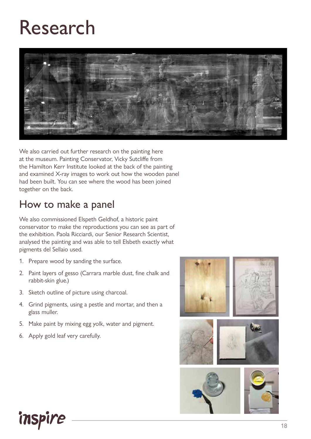## Research



We also carried out further research on the painting here at the museum. Painting Conservator, Vicky Sutcliffe from the Hamilton Kerr Institute looked at the back of the painting and examined X-ray images to work out how the wooden panel had been built. You can see where the wood has been joined together on the back.

#### How to make a panel

We also commissioned Elspeth Geldhof, a historic paint conservator to make the reproductions you can see as part of the exhibition. Paola Ricciardi, our Senior Research Scientist, analysed the painting and was able to tell Elsbeth exactly what pigments del Sellaio used.

- 1. Prepare wood by sanding the surface.
- 2. Paint layers of gesso (Carrara marble dust, fine chalk and rabbit-skin glue.)
- 3. Sketch outline of picture using charcoal.
- 4. Grind pigments, using a pestle and mortar, and then a glass muller.
- 5. Make paint by mixing egg yolk, water and pigment.
- 6. Apply gold leaf very carefully.

inspire

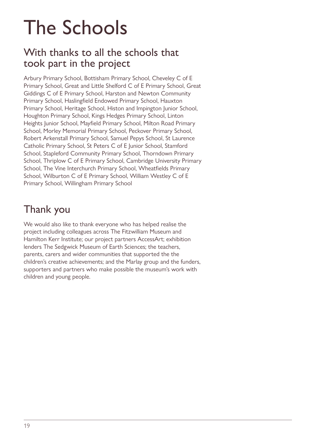## The Schools

#### With thanks to all the schools that took part in the project

Arbury Primary School, Bottisham Primary School, Cheveley C of E Primary School, Great and Little Shelford C of E Primary School, Great Giddings C of E Primary School, Harston and Newton Community Primary School, Haslingfield Endowed Primary School, Hauxton Primary School, Heritage School, Histon and Impington Junior School, Houghton Primary School, Kings Hedges Primary School, Linton Heights Junior School, Mayfield Primary School, Milton Road Primary School, Morley Memorial Primary School, Peckover Primary School, Robert Arkenstall Primary School, Samuel Pepys School, St Laurence Catholic Primary School, St Peters C of E Junior School, Stamford School, Stapleford Community Primary School, Thorndown Primary School, Thriplow C of E Primary School, Cambridge University Primary School, The Vine Interchurch Primary School, Wheatfields Primary School, Wilburton C of E Primary School, William Westley C of E Primary School, Willingham Primary School

#### Thank you

We would also like to thank everyone who has helped realise the project including colleagues across The Fitzwilliam Museum and Hamilton Kerr Institute; our project partners AccessArt; exhibition lenders The Sedgwick Museum of Earth Sciences; the teachers, parents, carers and wider communities that supported the the children's creative achievements; and the Marlay group and the funders, supporters and partners who make possible the museum's work with children and young people.